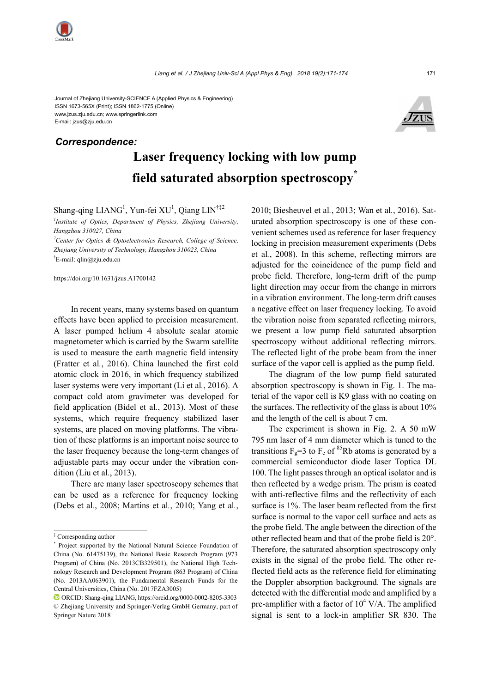Journal of Zhejiang University-SCIENCE A (Applied Physics & Engineering) ISSN 1673-565X (Print); ISSN 1862-1775 (Online) www.jzus.zju.edu.cn; www.springerlink.com E-mail: jzus@zju.edu.cn

## *Correspondence:*



## **Laser frequency locking with low pump field saturated absorption spectroscopy\***

Shang-qing  $LIANG<sup>1</sup>$ , Yun-fei  $XU<sup>1</sup>$ , Qiang  $LIN<sup>†12</sup>$ 

*1 Institute of Optics, Department of Physics, Zhejiang University, Hangzhou 310027, China*

*2 Center for Optics & Optoelectronics Research, College of Science, Zhejiang University of Technology, Hangzhou 310023, China*  † E-mail: qlin@zju.edu.cn

https://doi.org/10.1631/jzus.A1700142

In recent years, many systems based on quantum effects have been applied to precision measurement. A laser pumped helium 4 absolute scalar atomic magnetometer which is carried by the Swarm satellite is used to measure the earth magnetic field intensity (Fratter et al*.*, 2016). China launched the first cold atomic clock in 2016, in which frequency stabilized laser systems were very important (Li et al*.*, 2016). A compact cold atom gravimeter was developed for field application (Bidel et al*.*, 2013). Most of these systems, which require frequency stabilized laser systems, are placed on moving platforms. The vibration of these platforms is an important noise source to the laser frequency because the long-term changes of adjustable parts may occur under the vibration condition (Liu et al*.*, 2013).

There are many laser spectroscopy schemes that can be used as a reference for frequency locking (Debs et al*.*, 2008; Martins et al*.*, 2010; Yang et al*.*,

2010; Biesheuvel et al*.*, 2013; Wan et al*.*, 2016). Saturated absorption spectroscopy is one of these convenient schemes used as reference for laser frequency locking in precision measurement experiments (Debs et al*.*, 2008). In this scheme, reflecting mirrors are adjusted for the coincidence of the pump field and probe field. Therefore, long-term drift of the pump light direction may occur from the change in mirrors in a vibration environment. The long-term drift causes a negative effect on laser frequency locking. To avoid the vibration noise from separated reflecting mirrors, we present a low pump field saturated absorption spectroscopy without additional reflecting mirrors. The reflected light of the probe beam from the inner surface of the vapor cell is applied as the pump field.

The diagram of the low pump field saturated absorption spectroscopy is shown in Fig. 1. The material of the vapor cell is K9 glass with no coating on the surfaces. The reflectivity of the glass is about 10% and the length of the cell is about 7 cm.

The experiment is shown in Fig. 2. A 50 mW 795 nm laser of 4 mm diameter which is tuned to the transitions  $F_g=3$  to  $F_e$  of <sup>85</sup>Rb atoms is generated by a commercial semiconductor diode laser Toptica DL 100. The light passes through an optical isolator and is then reflected by a wedge prism. The prism is coated with anti-reflective films and the reflectivity of each surface is 1%. The laser beam reflected from the first surface is normal to the vapor cell surface and acts as the probe field. The angle between the direction of the other reflected beam and that of the probe field is 20°. Therefore, the saturated absorption spectroscopy only exists in the signal of the probe field. The other reflected field acts as the reference field for eliminating the Doppler absorption background. The signals are detected with the differential mode and amplified by a pre-amplifier with a factor of  $10^4$  V/A. The amplified signal is sent to a lock-in amplifier SR 830. The

<sup>‡</sup> Corresponding author

<sup>\*</sup> Project supported by the National Natural Science Foundation of China (No. 61475139), the National Basic Research Program (973 Program) of China (No. 2013CB329501), the National High Technology Research and Development Program (863 Program) of China (No. 2013AA063901), the Fundamental Research Funds for the Central Universities, China (No. 2017FZA3005)

ORCID: Shang-qing LIANG, https://orcid.org/0000-0002-8205-3303 © Zhejiang University and Springer-Verlag GmbH Germany, part of Springer Nature 2018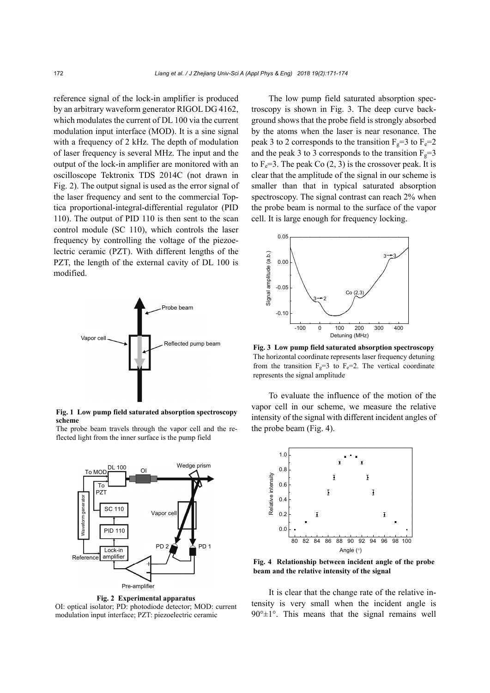reference signal of the lock-in amplifier is produced by an arbitrary waveform generator RIGOL DG 4162, which modulates the current of DL 100 via the current modulation input interface (MOD). It is a sine signal with a frequency of 2 kHz. The depth of modulation of laser frequency is several MHz. The input and the output of the lock-in amplifier are monitored with an oscilloscope Tektronix TDS 2014C (not drawn in Fig. 2). The output signal is used as the error signal of the laser frequency and sent to the commercial Toptica proportional-integral-differential regulator (PID 110). The output of PID 110 is then sent to the scan control module (SC 110), which controls the laser frequency by controlling the voltage of the piezoelectric ceramic (PZT). With different lengths of the PZT, the length of the external cavity of DL 100 is modified.



**Fig. 1 Low pump field saturated absorption spectroscopy scheme** 

The probe beam travels through the vapor cell and the reflected light from the inner surface is the pump field



**Fig. 2 Experimental apparatus**  OI: optical isolator; PD: photodiode detector; MOD: current modulation input interface; PZT: piezoelectric ceramic

The low pump field saturated absorption spectroscopy is shown in Fig. 3. The deep curve background shows that the probe field is strongly absorbed by the atoms when the laser is near resonance. The peak 3 to 2 corresponds to the transition  $F_g=3$  to  $F_g=2$ and the peak 3 to 3 corresponds to the transition  $F_g=3$ to  $F_e=3$ . The peak Co  $(2, 3)$  is the crossover peak. It is clear that the amplitude of the signal in our scheme is smaller than that in typical saturated absorption spectroscopy. The signal contrast can reach 2% when the probe beam is normal to the surface of the vapor cell. It is large enough for frequency locking.



**Fig. 3 Low pump field saturated absorption spectroscopy** The horizontal coordinate represents laser frequency detuning from the transition  $F_g=3$  to  $F_e=2$ . The vertical coordinate represents the signal amplitude

To evaluate the influence of the motion of the vapor cell in our scheme, we measure the relative intensity of the signal with different incident angles of the probe beam (Fig. 4).



**Fig. 4 Relationship between incident angle of the probe beam and the relative intensity of the signal** 

It is clear that the change rate of the relative intensity is very small when the incident angle is  $90^{\circ}$ ±1°. This means that the signal remains well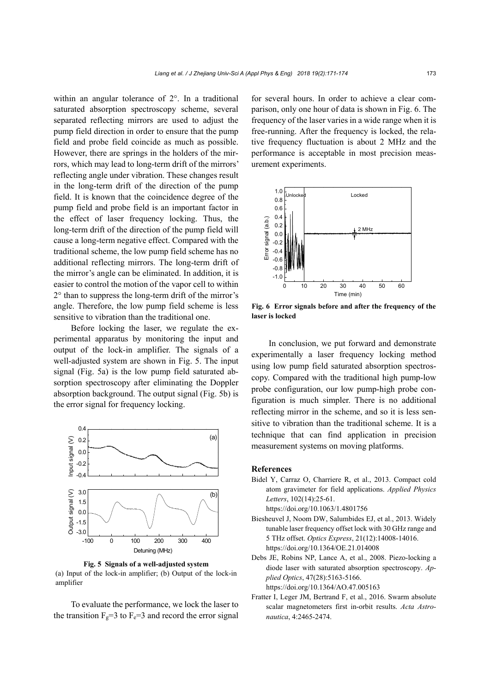within an angular tolerance of 2°. In a traditional saturated absorption spectroscopy scheme, several separated reflecting mirrors are used to adjust the pump field direction in order to ensure that the pump field and probe field coincide as much as possible. However, there are springs in the holders of the mirrors, which may lead to long-term drift of the mirrors' reflecting angle under vibration. These changes result in the long-term drift of the direction of the pump field. It is known that the coincidence degree of the pump field and probe field is an important factor in the effect of laser frequency locking. Thus, the long-term drift of the direction of the pump field will cause a long-term negative effect. Compared with the traditional scheme, the low pump field scheme has no additional reflecting mirrors. The long-term drift of the mirror's angle can be eliminated. In addition, it is easier to control the motion of the vapor cell to within 2° than to suppress the long-term drift of the mirror's angle. Therefore, the low pump field scheme is less sensitive to vibration than the traditional one.

Before locking the laser, we regulate the experimental apparatus by monitoring the input and output of the lock-in amplifier. The signals of a well-adjusted system are shown in Fig. 5. The input signal (Fig. 5a) is the low pump field saturated absorption spectroscopy after eliminating the Doppler absorption background. The output signal (Fig. 5b) is the error signal for frequency locking.



**Fig. 5 Signals of a well-adjusted system**  (a) Input of the lock-in amplifier; (b) Output of the lock-in amplifier

To evaluate the performance, we lock the laser to the transition  $F_g=3$  to  $F_g=3$  and record the error signal for several hours. In order to achieve a clear comparison, only one hour of data is shown in Fig. 6. The frequency of the laser varies in a wide range when it is free-running. After the frequency is locked, the relative frequency fluctuation is about 2 MHz and the performance is acceptable in most precision measurement experiments.



**Fig. 6 Error signals before and after the frequency of the laser is locked** 

In conclusion, we put forward and demonstrate experimentally a laser frequency locking method using low pump field saturated absorption spectroscopy. Compared with the traditional high pump-low probe configuration, our low pump-high probe configuration is much simpler. There is no additional reflecting mirror in the scheme, and so it is less sensitive to vibration than the traditional scheme. It is a technique that can find application in precision measurement systems on moving platforms.

## **References**

Bidel Y, Carraz O, Charriere R, et al., 2013. Compact cold atom gravimeter for field applications. *Applied Physics Letters*, 102(14):25-61.

https://doi.org/10.1063/1.4801756

- Biesheuvel J, Noom DW, Salumbides EJ, et al., 2013. Widely tunable laser frequency offset lock with 30 GHz range and 5 THz offset. *Optics Express*, 21(12):14008-14016. https://doi.org/10.1364/OE.21.014008
- Debs JE, Robins NP, Lance A, et al., 2008. Piezo-locking a diode laser with saturated absorption spectroscopy. *Applied Optics*, 47(28):5163-5166. https://doi.org/10.1364/AO.47.005163
- Fratter I, Leger JM, Bertrand F, et al., 2016. Swarm absolute scalar magnetometers first in-orbit results. *Acta Astronautica*, 4:2465-2474.